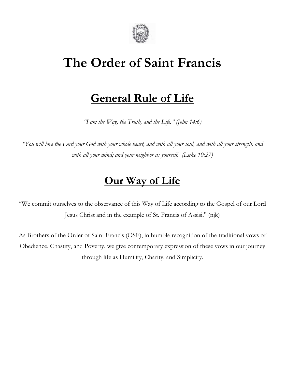

# **The Order of Saint Francis**

# **General Rule of Life**

*"I am the Way, the Truth, and the Life." (John 14:6)*

"You will love the Lord your God with your whole heart, and with all your soul, and with all your strength, and *with all your mind; and your neighbor as yourself. (Luke 10:27)*

## **Our Way of Life**

"We commit ourselves to the observance of this Way of Life according to the Gospel of our Lord Jesus Christ and in the example of St. Francis of Assisi." (njk)

As Brothers of the Order of Saint Francis (OSF), in humble recognition of the traditional vows of Obedience, Chastity, and Poverty, we give contemporary expression of these vows in our journey through life as Humility, Charity, and Simplicity.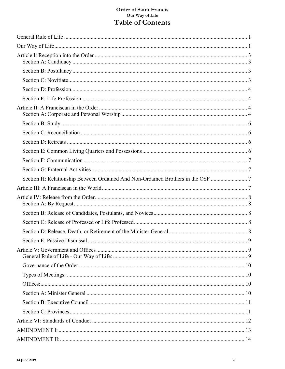### Order of Saint Francis<br>Our Way of Life Table of Contents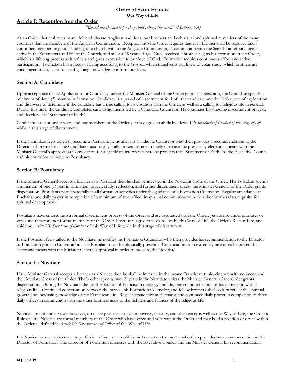#### **Article I: Reception into the Order**

*"Blessed are the meek for they shall inherit the earth" (Matthew 5:4)*

As an Order that embraces many rich and diverse Anglican traditions, our brothers are both visual and spiritual reminders of the many countries that are members of the Anglican Communion. Reception into the Order requires that each brother shall be baptized and a confirmed member, in good standing, of a church within the Anglican Communion, in communion with the See of Canterbury, being active in the Sacraments and life of the Church, and at least 18 years of age. Once received a brother begins his formation in the Order, which is a lifelong process as it reflects and gives expression to our love of God. Formation requires continuous effort and active participation. Formation has a focus of living according to the Gospel, which transforms our lives; whereas study, which brothers are encouraged to do, has a focus of gaining knowledge to inform our lives.

#### **Section A: Candidacy**

Upon acceptance of the Application for Candidacy, unless the Minister General of the Order grants dispensation, the Candidate spends a minimum of three (3) months in formation. Candidacy is a period of discernment for both the candidate and the Order; one of exploration and discovery to determine if the candidate has a true calling for a vocation with the Order, as well as a calling for religious life in general. During this time, the candidate completes early assignments led by a Candidate Counselor. He continues his ongoing discernment process, and develops his "Statement of Faith".

Candidates are not under vows and not members of the Order yet they agree to abide by *Article VI: Standards of Conduct of this Way of Life* while in this stage of discernment.

If the Candidate feels called to become a Postulant, he notifies his Candidate Counselor who then provides a recommendation to the Director of Formation. The Candidate must be physically present or in extremely rare cases be present by electronic means with the Minister General's approval at Convocation for a candidate interview where he presents this "Statement of Faith" to the Executive Council and his counselor to move to Postulancy.

#### **Section B: Postulancy**

If the Minister General accepts a brother as a Postulant then he shall be invested in the Postulant Cross of the Order. The Postulant spends a minimum of one (1) year in formation, prayer, study, reflection, and further discernment unless the Minister General of the Order grants dispensation. Postulants participate fully in all formation activities under the guidance of a Formation Counselor. Regular attendance at Eucharist and daily prayer in completion of a minimum of two offices in spiritual communion with the other brothers is a requisite for spiritual development.

Postulants have entered into a formal discernment process of the Order and are associated with the Order, yet are not under promises or vows and therefore not formal members of the Order. Postulants agree to work to live by this Way of Life, the Order's Rule of Life, and abide by *Article VI: Standards of Conduct* of this Way of Life while in this stage of discernment.

If the Postulant feels called to the Novitiate, he notifies his Formation Counselor who then provides his recommendation to the Director of Formation prior to Convocation. The Postulant must be physically present at Convocation or in extremely rare cases be present by electronic means with the Minister General's approval in order to move to the Novitiate.

#### **Section C: Novitiate**

If the Minister General accepts a brother as a Novice then he shall be invested in the brown Franciscan tunic, cincture with no knots, and the Novitiate Cross of the Order. The brother spends two (2) years in the Novitiate unless the Minister General of the Order grants dispensation. During the Novitiate, the brother studies of Franciscan theology and life, prayer and reflection of his immersion within religious life. Continued conversation between the novice, his Formation Counselor, and fellow brothers shall seek to reflect the spiritual growth and increasing knowledge of the Franciscan life. Regular attendance at Eucharist and continued daily prayer in completion of three daily offices in communion with the other brothers adds to the richness and fullness of the religious life.

Novices are not under vows; however, do make promises to live in poverty, chastity, and obedience; as well as this Way of Life, the Order's Rule of Life. Novices are formal members of the Order who have voice and vote within the Order and may hold a position or office within the Order as defined in *Article V: Government and Offices* of this Way of Life.

If a Novice feels called to take his profession of vows, he notifies his Formation Counselor who then provides his recommendation to the Director of Formation. The Director of Formation discusses with the Executive Council and the Minister General his recommendation.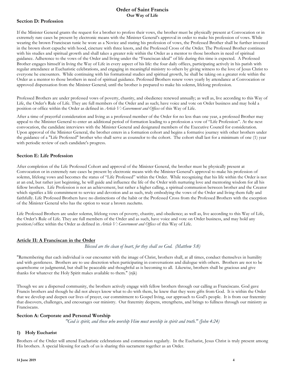#### **Section D: Profession**

If the Minister General grants the request for a brother to profess their vows, the brother must be physically present at Convocation or in extremely rare cases be present by electronic means with the Minister General's approval in order to make his profession of vows. While wearing the brown Franciscan tunic he wore as a Novice and stating his profession of vows, the Professed Brother shall be further invested in the brown short capuche with hood, cincture with three knots, and the Professed Cross of the Order. The Professed Brother continues with his studies and spiritual growth and shall takes a greater role within the Order as a mentor to those brothers in need of spiritual guidance. Adherence to the vows of the Order and living under the "Franciscan ideal" of life during this time is expected. A Professed Brother engages himself in living the Way of Life in every aspect of his life: the four daily offices, participating actively in his parish with regular attendance at Eucharistic celebrations, and engaging in meaningful ministry to others by giving witness to the love of Jesus Christ to everyone he encounters. While continuing with his formational studies and spiritual growth, he shall be taking on a greater role within the Order as a mentor to those brothers in need of spiritual guidance. Professed Brothers renew vows yearly by attendance at Convocation or approved dispensation from the Minister General; until the brother is prepared to make his solemn, lifelong profession.

Professed Brothers are under professed vows of poverty, chastity, and obedience renewed annually; as well as, live according to this Way of Life, the Order's Rule of Life. They are full members of the Order and as such; have voice and vote on Order business and may hold a position or office within the Order as defined in *Article V: Government and Offices* of this Way of Life.

After a time of prayerful consideration and living as a professed member of the Order for no less than one year, a professed Brother may appeal to the Minister General to enter an additional period of formation leading to a profession a vow of "Life Profession". At the next convocation, the candidate interviews with the Minister General and designated members of the Executive Council for consideration. Upon approval of the Minister General, the brother enters in a formation cohort and begins a formative journey with other brothers under the guidance of a "Life Professed" brother who shall serve as counselor to the cohort. The cohort shall last for a minimum of one (1) year with periodic review of each candidate's progress.

#### **Section E: Life Profession**

After completion of the Life Professed Cohort and approval of the Minister General, the brother must be physically present at Convocation or in extremely rare cases be present by electronic means with the Minister General's approval to make his profession of solemn, lifelong vows and becomes the status of "Life Professed" within the Order. While recognizing that his life within the Order is not at an end, but rather just beginning, he will guide and influence the life of the Order with nurturing love and mentoring wisdom for all his fellow brothers. Life Profession is not an achievement, but rather a higher calling, a spiritual communion between brother and the Creator which signifies a life commitment to service and devotion and as such, truly embodying the vows of the Order and living them fully and faithfully. Life Professed Brothers have no distinctions of the habit or the Professed Cross from the Professed Brothers with the exception of the Minister General who has the option to wear a brown zucchetto.

Life Professed Brothers are under solemn, lifelong vows of poverty, chastity, and obedience; as well as, live according to this Way of Life, the Order's Rule of Life. They are full members of the Order and as such, have voice and vote on Order business, and may hold any position/office within the Order as defined in *Article V: Government and Offices* of this Way of Life.

#### **Article II: A Franciscan in the Order**

*Blessed are the clean of heart, for they shall see God. (Matthew 5:8)*

"Remembering that each individual is our encounter with the image of Christ, brothers shall, at all times, conduct themselves in humility and with gentleness. Brothers are to use discretion when participating in conversations and dialogue with others. Brothers are not to be quarrelsome or judgmental, but shall be peaceable and thoughtful as is becoming to all. Likewise, brothers shall be gracious and give thanks for whatever the Holy Spirit makes available to them." (njk)

Though we are a dispersed community, the brothers actively engage with fellow brothers through our calling as Franciscans. God gave Francis brothers and though he did not always know what to do with them, he knew that they were gifts from God. It is within the Order that we develop and deepen our lives of prayer, our commitment to Gospel living, our approach to God's people. It is from our fraternity that discovers, challenges, and encourages our ministry. Our fraternity deepens, strengthens, and brings to fullness through our ministry as Franciscans.

#### **Section A: Corporate and Personal Worship**

*"God is spirit, and those who worship Him must worship in spirit and truth." (John 4:24)*

#### **1) Holy Eucharist**

Brothers of the Order will attend Eucharistic celebrations and communion regularly. In the Eucharist, Jesus Christ is truly present among His brothers. A special blessing for each of us is sharing this sacrament together as an Order.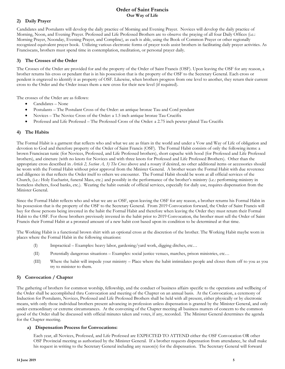#### **2) Daily Prayer**

Candidates and Postulants will develop the daily practice of Morning and Evening Prayer. Novices will develop the daily practice of Morning, Noon, and Evening Prayer. Professed and Life Professed Brothers are to observe the praying of all four Daily Offices (i.e.: Morning Prayer, Noonday, Evening Prayer, and Compline), as each is able, using the Book of Common Prayer or other regionally recognized equivalent prayer book. Utilizing various electronic forms of prayer tools assist brothers in facilitating daily prayer activities. As Franciscans, brothers must spend time in contemplation, meditation, or personal prayer daily.

#### **3) The Crosses of the Order**

The Crosses of the Order are provided for and the property of the Order of Saint Francis (OSF). Upon leaving the OSF for any reason, a brother returns his cross or pendant that is in his possession that is the property of the OSF to the Secretary General. Each cross or pendent is engraved to identify it as property of OSF. Likewise, when brothers progress from one level to another, they return their current cross to the Order and the Order issues them a new cross for their new level (if required).

The crosses of the Order are as follows:

- Candidates None
- Postulants The Postulant Cross of the Order: an antique bronze Tau and Cord pendant
- Novices The Novice Cross of the Order: a 1.5 inch antique bronze Tau Crucifix
- Professed and Life Professed The Professed Cross of the Order: a 2.75 inch pewter plated Tau Crucifix

#### **4) The Habits**

The Formal Habit is a garment that reflects who and what we are as friars in the world and under a Vow and Way of Life of obligation and devotion to God and therefore property of the Order of Saint Francis (OSF). The Formal Habit consists of only the following items: a brown Franciscan tunic (for Novices, Professed, and Life Professed brothers), short capuche with hood (for Professed and Life Professed brothers), and cincture (with no knots for Novices and with three knots for Professed and Life Professed Brothers). Other than the appropriate cross described in *Article 2, Section A, 3) The Cross* above and a rosary if desired, no other additional items or accessories should be worn with the Formal Habit without prior approval from the Minister General. A brother wears the Formal Habit with due reverence and diligence in that reflects the Order itself to others we encounter. The Formal Habit should be worn at all official services of the Church, (i.e.: Holy Eucharist, funeral Mass, etc.) and possibly in the performance of the brother's ministry (i.e.: performing ministry in homeless shelters, food banks, etc.). Wearing the habit outside of official services, especially for daily use, requires dispensation from the Minister General.

Since the Formal Habit reflects who and what we are as OSF, upon leaving the OSF for any reason, a brother returns his Formal Habit in his possession that is the property of the OSF to the Secretary General. From 2019 Convocation forward, the Order of Saint Francis will buy for those persons being invested in the habit the Formal Habit and therefore when leaving the Order they must return their Formal Habit to the OSF. For those brothers previously invested in the habit prior to 2019 Convocation, the brother must sell the Order of Saint Francis their Formal Habit at a prorated amount of a new habit cost based upon its condition to be determined at that time.

The Working Habit is a functional brown shirt with an optional cross at the discretion of the brother. The Working Habit maybe worn in places where the Formal Habit in the following situations:

- (I) Impractical Examples: heavy labor, gardening/yard work, digging ditches, etc…
- (II) Potentially dangerous situations Examples: social justice venues, marches, prison ministries, etc…
- (III) Where the habit will impede your ministry Place where the habit intimidates people and closes them off to you as you try to minister to them.

#### **5) Convocation / Chapter**

The gathering of brothers for common worship, fellowship, and the conduct of business affairs specific to the operations and wellbeing of the Order shall be accomplished thru Convocation and meeting of the Chapter on an annual basis. At the Convocation, a ceremony of Induction for Postulants, Novices, Professed and Life Professed Brothers shall be held with all present, either physically or by electronic means, with only those individual brothers present advancing in profession unless dispensation is granted by the Minister General, and only under extraordinary or extreme circumstances. At the convening of the Chapter meeting all business matters of concern to the common good of the Order shall be discussed with official minutes taken and votes, if any, recorded. The Minister General determines the agenda for the Chapter meeting.

#### **a) Dispensation Process for Convocations:**

Each year, all Novices, Professed, and Life Professed are EXPECTED TO ATTEND either the OSF Convocation OR other OSF Provincial meeting as authorized by the Minister General. If a brother requests dispensation from attendance, he shall make his request in writing to the Secretary General including any reason(s) for the dispensation. The Secretary General will forward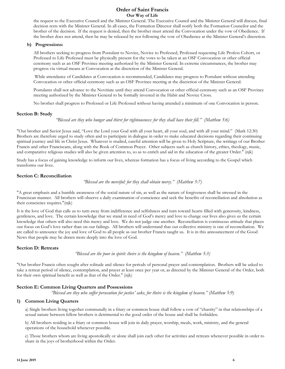the request to the Executive Council and the Minister General. The Executive Council and the Minister General will discuss, final decision rests with the Minister General. In all cases, the Formation Director shall notify both the Formation Councilor and the brother of the decision. If the request is denied, then the brother must attend the Convocation under the vow of Obedience. If the brother does not attend, then he may be released by not following the vow of Obedience at the Minister General's discretion.

#### **b) Progressions:**

All brothers seeking to progress from Postulant to Novice, Novice to Professed, Professed requesting Life Profess Cohort, or Professed to Life Professed must be physically present for the vows to be taken at an OSF Convocation or other official ceremony such as an OSF Province meeting authorized by the Minister General. In extreme circumstances, the brother may progress via virtual means at Convocation at the discretion of the Minister General.

While attendance of Candidates at Convocation is recommended, Candidates may progress to Postulant without attending Convocation or other official ceremony such as an OSF Province meeting at the discretion of the Minister General.

Postulants shall not advance to the Novitiate until they attend Convocation or other official ceremony such as an OSF Province meeting authorized by the Minister General to be formally invested in the Habit and Novice Cross.

No brother shall progress to Professed or Life Professed without having attended a minimum of one Convocation in person.

#### **Section B: Study**

*"Blessed are they who hunger and thirst for righteousness: for they shall have their fill." (Matthew 5:6)*

"Our brother and Savior Jesus said, "Love the Lord your God with all your heart, all your soul, and with all your mind." (Mark 12:30) Brothers are therefore urged to study often and to participate in dialogue in order to make educated decisions regarding their continuing spiritual journey and life in Christ Jesus. Whatever is studied, careful attention will be given to Holy Scripture, the writings of our Brother Francis and other Franciscans, along with the Book of Common Prayer. Other subjects such as church history, ethics, theology, music, and comparative religious studies will also be given attention to, so as to enrich and aid in the education of the greater Order." (njk)

Study has a focus of gaining knowledge to inform our lives, whereas formation has a focus of living according to the Gospel which transforms our lives.

#### **Section C: Reconciliation**

*"Blessed are the merciful: for they shall obtain mercy." (Matthew 5:7)*

"A great emphasis and a humble awareness of the social nature of sin, as well as the nature of forgiveness shall be stressed in the Franciscan manner. All brothers will observe a daily examination of conscience and seek the benefits of reconciliation and absolution as their conscience requires."(njk)

It is the love of God that calls us to turn away from indifference and selfishness and turn toward hearts filled with generosity, kindness, gentleness, and love. The certain knowledge that we stand in need of God's mercy and love to change our lives also gives us the certain knowledge that others will also need this mercy and love. We do not judge one another. Reconciliation is continuous attitude that places our focus on God's love rather than on our failings. All brothers will understand that our collective ministry is one of reconciliation. We are called to announce the joy and love of God to all people as our brother Francis taught us. It is in this announcement of the Good News that people may be drawn more deeply into the love of God.

#### **Section D: Retreats**

*"Blessed are the poor in spirit: theirs is the kingdom of heaven." (Matthew 5:3)*

"Our brother Francis often sought after solitude and silence for periods of personal prayer and contemplation. Brothers will be asked to take a retreat period of silence, contemplation, and prayer at least once per year or, as directed by the Minister General of the Order, both for their own spiritual benefit as well as that of the Order." (njk)

#### **Section E: Common Living Quarters and Possessions**

"Blessed are they who suffer persecution for justice' sake, for theirs is the kingdom of heaven." (Matthew 5:9)

#### **1) Common Living Quarters**

a) Single brothers living together communally in a friary or common house shall follow a vow of "chastity" in that relationships of a sexual nature between fellow brothers is detrimental to the good order of the house and shall be forbidden.

b) All brothers residing in a friary or common house will join in daily prayer, worship, meals, work, ministry, and the general operations of the household whenever possible.

c) Those brothers whom are living apostolically or alone shall join each other for activities and retreats whenever possible in order to share in the joys of brotherhood within the Order.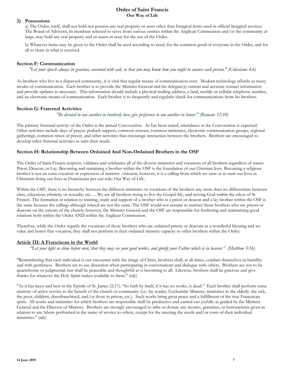#### **2) Possessions**

a) The Order, itself, shall not hold nor possess any real property or asset other than liturgical items used in official liturgical services. The Board of Advisors, its members selected to serve from various entities within the Anglican Communion and/or the community at large, may hold any real property and or assets in trust for the use of the Order.

b) Whatever items may be given to the Order shall be used according to need, for the common good of everyone in the Order, and for all to share in what is received.

#### **Section F: Communication**

"Let your speech always be gracious, seasoned with salt, so that you may know how you ought to answer each person." (Colossians 4:6)

As brothers who live in a dispersed community, it is vital that regular means of communication exist. Modern technology affords us many modes of communication. Each brother is to provide the Minister General and his delegate(s) current and accurate contact information and provide updates as necessary. This information should include a physical mailing address, a land, mobile or cellular telephone number, and an electronic means of communication. Each brother is to frequently and regularly check for communications from his brothers.

#### **Section G: Fraternal Activities**

*"Be devoted to one another in brotherly love; give preference to one another in honor." (Romans 12:10)*

The primary fraternal activity of the Order is the annual Convocation. As has been stated, attendance at the Convocation is expected. Other activities include days of prayer, potluck suppers, common retreats, common ministries, electronic communication groups, regional gatherings, common times of prayer, and other activities that encourage interaction between the brothers. Brothers are encouraged to develop other fraternal activities as suits their needs.

#### **Section H: Relationship Between Ordained And Non-Ordained Brothers in the OSF**

The Order of Saint Francis respects, validates and celebrates all of the diverse ministries and vocations of all brothers regardless of status: Priest, Deacon, or Lay. Becoming and remaining a brother within the OSF is the foundation of our Christian lives. Becoming a religious brother is not an extra vocation or expression of ministry /mission; however, it is a calling from which we start or re-start our lives as Christians living our lives as Franciscans per our rule: Our Way of Life.

Within the OSF, there is no hierarchy between the different ministries or vocations of the brothers any more than we differentiate between class, education, ethnicity or sexuality etc…. We are all brothers trying to live the Gospel life, and serving God within the ethos of St Francis. The formation in relation to training, study and support of a brother who is a priest or deacon and a lay brother within the OSF is the same because the callings although related are not the same. The OSF would not assume to instruct those brothers who are priests or deacons on the canons of the church; however, the Minister General and the OSF are responsible for furthering and maintaining good relations both within the Order AND within the Anglican Communion.

Therefore, while the Order regards the vocations of those brothers who are ordained priests or deacons as a wonderful blessing and we value and honor that vocation; they shall not perform in their ordained ministry capacity to other brothers within the Order.

#### **Article III: A Franciscan in the World**

"Let your light so shine before men, that they may see your good works, and glorify your Father which is in heaven." (Matthew 5:16)

"Remembering that each individual is our encounter with the image of Christ, brothers shall, at all times, conduct themselves in humility and with gentleness. Brothers are to use discretion when participating in conversations and dialogue with others. Brothers are not to be quarrelsome or judgmental, but shall be peaceable and thoughtful as is becoming to all. Likewise, brothers shall be gracious and give thanks for whatever the Holy Spirit makes available to them." (njk)

"As it has been said best in the Epistle of St. James (2:17): "So faith by itself, if it has no works, is dead." Each brother shall perform some ministry of active service to the benefit of the church or community (i.e.: lay reader, Eucharistic Minister, ministries to the elderly, the sick, the poor, children, disenfranchised, and/or those in prison, etc.). Such works bring great peace and a fulfillment of the true Franciscan spirit. All works and ministries for which brothers are responsible shall be productive and carried out joyfully as guided by the Minister General and the Director of Ministry. Brothers are strongly encouraged to tithe or donate any monies, gratuities, or honorariums given in relation to any labors performed in the name of service to others, except for the meeting the needs and/or costs of their individual ministries." (njk)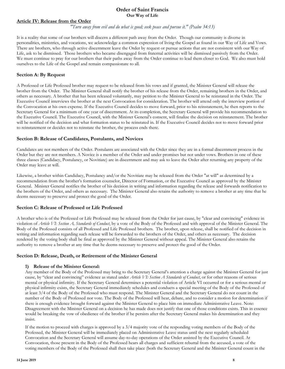#### **Article IV: Release from the Order**

*"Turn away from evil and do what is good; seek peace and pursue it." (Psalm 34:13)*

It is a reality that some of our brothers will discern a different path away from the Order. Though our community is diverse in personalities, ministries, and vocations, we acknowledge a common expression of living the Gospel as found in our Way of Life and Vows. There are brothers, who through active discernment leave the Order by request or pursue actions that are not consistent with our Way of Life, ask to be dismissed. Those brothers who became disengaged from fraternal activities will be dismissed passively from the Order. We must continue to pray for our brothers that their paths away from the Order continue to lead them closer to God. We also must hold ourselves to the Life of the Gospel and remain compassionate to all.

#### **Section A: By Request**

A Professed or Life Professed brother may request to be released from his vows and if granted, the Minister General will release the brother from the Order. The Minister General shall notify the brother of his release from the Order, remaining brothers in the Order, and others as necessary. A brother that has been released voluntarily, may petition to the Minister General to be reinstated in the Order. The Executive Council interviews the brother at the next Convocation for consideration. The brother will attend only the interview portion of the Convocation at his own expense. If the Executive Council decides to move forward, prior to his reinstatement, he then reports to the Secretary General for a minimum of one year of discernment. At its completion, the Secretary General will provide his recommendation to the Executive Council. The Executive Council, with the Minister General's consent, will finalize the decision on reinstatement. The brother will be notified of the decision and what formation status to be reinstated in. If the Executive Council decides not to move forward prior to reinstatement or decides not to reinstate the brother, the process ends there.

#### **Section B: Release of Candidates, Postulants, and Novices**

Candidates are not members of the Order. Postulants are associated with the Order since they are in a formal discernment process in the Order but they are not members. A Novice is a member of the Order and under promises but not under vows. Brothers in one of these three classes (Candidacy, Postulancy, or Novitiate) are in discernment and may ask to leave the Order after returning any property of the Order may leave at will.

Likewise, a brother within Candidacy, Postulancy and/or the Novitiate may be released from the Order "at will" as determined by a recommendation from the brother's formation counselor, Director of Formation, or the Executive Council as approved by the Minister General. Minister General notifies the brother of his decision in writing and information regarding the release and forwards notification to the brothers of the Order, and others as necessary. The Minister General also retains the authority to remove a brother at any time that he deems necessary to preserve and protect the good of the Order.

#### **Section C: Release of Professed or Life Professed**

A brother who is of the Professed or Life Professed may be released from the Order for just cause, by "clear and convincing" evidence in violation of *Article VI: Section A, Standards of Conduct*, by a vote of the Body of the Professed and with approval of the Minister General. The Body of the Professed consists of all Professed and Life Professed brothers. The brother, upon release, shall be notified of the decision in writing and information regarding such release will be forwarded to the brothers of the Order, and others as necessary. The decision rendered by the voting body shall be final as approved by the Minister General without appeal. The Minister General also retains the authority to remove a brother at any time that he deems necessary to preserve and protect the good of the Order.

#### **Section D: Release, Death, or Retirement of the Minister General**

#### **1) Release of the Minister General:**

Any member of the Body of the Professed may bring to the Secretary General's attention a charge against the Minister General for just cause, by "clear and convincing" evidence as stated under *Article VI: Section A Standards of Conduct*, or for other reasons of serious mental or physical infirmity. If the Secretary General determines a potential violation of Article VI occurred or for a serious mental or physical infirmity exists, the Secretary General immediately schedules and conducts a special meeting of the Body of the Professed of at least 3/4 of the Body of the Professed who must respond. The Minister General and the Secretary General do not count in the number of the Body of Professed nor vote. The Body of the Professed will hear, debate, and to consider a motion for determination if there is enough evidence brought forward against the Minister General to place him on immediate Administrative Leave. Note: Disagreement with the Minister General on a decision he has made does not justify that one of those conditions exists. This in essence would be breaking the vow of obedience of the brother if he persists after the Secretary General makes his determination and they insist.

If the motion to proceed with charges is approved by a 3/4 majority vote of the responding voting members of the Body of the Professed, the Minister General will be immediately placed on Administrative Leave status until the next regularly scheduled Convocation and the Secretary General will assume day-to-day operations of the Order assisted by the Executive Council. At Convocation, those present in the Body of the Professed hears all charges and sufficient rebuttal from the accused, a vote of the voting members of the Body of the Professed shall then take place (both the Secretary General and the Minister General count in the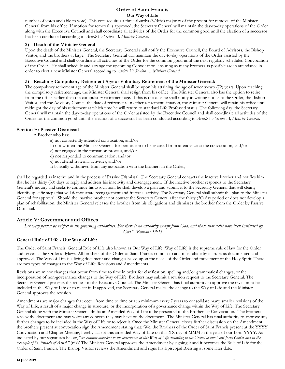number of votes and able to vote). This vote requires a three-fourths (3/4ths) majority of the present for removal of the Minister General from his office. If motion for removal is approved, the Secretary General will maintain the day-to-day operations of the Order along with the Executive Council and shall coordinate all activities of the Order for the common good until the election of a successor has been conducted according to *Article V: Section A, Minister General*.

#### **2) Death of the Minister General**

Upon the death of the Minister General, the Secretary General shall notify the Executive Council, the Board of Advisors, the Bishop Visitor, and the brothers at large. The Secretary General will maintain the day-to-day operations of the Order assisted by the Executive Council and shall coordinate all activities of the Order for the common good until the next regularly scheduled Convocation of the Order. He shall schedule and arrange the upcoming Convocation, ensuring as many brothers as possible are in attendance in order to elect a new Minister General according to *Article V: Section A, Minister General*.

#### **3) Reaching Compulsory Retirement Age or Voluntary Retirement of the Minister General:**

The compulsory retirement age of the Minister General shall be upon his attaining the age of seventy-two (72) years. Upon reaching the compulsory retirement age, the Minister General shall resign from his office. The Minister General also has the option to retire from the office earlier than the compulsory retirement age. If this is the case he shall notify in writing notice to the Order, the Bishop Visitor, and the Advisory Council the date of retirement. In either retirement situation, the Minister General will retain his office until midnight the day of his retirement at which time he will return to standard Life Professed status. The following day, the Secretary General will maintain the day-to-day operations of the Order assisted by the Executive Council and shall coordinate all activities of the Order for the common good until the election of a successor has been conducted according to *Article V: Section A, Minister General*.

#### **Section E: Passive Dismissal**

A Brother who has:

- a) not consistently attended convocation, and/or
- b) not written the Minister General for permission to be excused from attendance at the convocation, and/or
- c) not engaged in the formation process, and/or
- d) not responded to communication, and/or
- e) not attend fraternal activities, and/or
- f) basically withdrawn from any association with the brothers in the Order,

shall be regarded as inactive and in the process of Passive Dismissal. The Secretary General contacts the inactive brother and notifies him that he has thirty (30) days to reply and address his inactivity and disengagement. If the inactive brother responds to the Secretary General's inquiry and seeks to continue his association, he shall develop a plan and submit it to the Secretary General that will clearly identify specific steps that will demonstrate reengagement and fraternal activity. The Secretary General shall submit the plan to the Minister General for approval. Should the inactive brother not contact the Secretary General after the thirty (30) day period or does not develop a plan of rehabilitation, the Minister General releases the brother from his obligations and dismisses the brother from the Order by Passive Dismissal.

#### **Article V: Government and Offices**

"Let every person be subject to the governing authorities. For there is no authority except from God, and those that exist have been instituted by *God." (Romans 13:1)*

#### **General Rule of Life - Our Way of Life:**

The Order of Saint Francis' General Rule of Life also known as Our Way of Life (Way of Life) is the supreme rule of law for the Order and serves as the Order's Bylaws. All brothers of the Order of Saint Francis commit to and must abide by its rules as documented and approved. The Way of Life is a living document and changes based upon the needs of the Order and movement of the Holy Spirit. There are two types of changes to the Way of Life: Revisions and Amendments.

Revisions are minor changes that occur from time to time in order for clarification, spelling and/or grammatical changes, or the incorporation of non-governance changes to the Way of Life. Brothers may submit a revision request to the Secretary General. The Secretary General presents the request to the Executive Council. The Minister General has final authority to approve the revision to be included in the Way of Life or to reject it. If approved, the Secretary General makes the change to the Way of Life and the Minister General approves the revision.

Amendments are major changes that occur from time to time or at a minimum every 7 years to consolidate many smaller revisions of the Way of Life, a result of a major change in structure, or the incorporation of a governance change within the Way of Life. The Secretary General along with the Minister General drafts an Amended Way of Life to be presented to the Brothers at Convocation. The brothers review the document and may voice any concern they may have on the document. The Minister General has final authority to approve any further changes to be included in the Way of Life or to reject it. Once the Minister General closes further discussion on the Amendment, the brothers present at convocation sign the Amendment stating that: 'We, the Brothers of the Order of Saint Francis present at the YYYY Convocation and Chapter Meeting, hereby accept this amended Way of Life on this XX day of MMM in the year of our Lord YYYY. As indicated by our signatures below, "we commit ourselves to the observance of this Way of Life according to the Gospel of our Lord Jesus Christ and in the *example of St. Francis of Assisi."* (njk)' The Minister General approves the Amendment by signing it and it becomes the Rule of Life for the Order of Saint Francis. The Bishop Visitor reviews the Amendment and signs his Episcopal Blessing at some later date.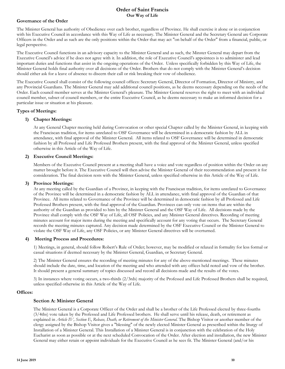#### **Governance of the Order**

The Minister General has authority of Obedience over each brother, regardless of Province. He shall exercise it alone or in conjunction with his Executive Council in accordance with this Way of Life as necessary. The Minister General and the Secretary General are Corporate Officers in the Order and as such are the only positions within the Order that may act "on behalf of the Order" from a financial, public, or legal perspective.

The Executive Council functions in an advisory capacity to the Minister General and as such, the Minster General may depart from the Executive Council's advice if he does not agree with it. In addition, the role of Executive Council's appointees is to administer and lead important duties and functions that assist in the ongoing operations of the Order. Unless specifically forbidden by this Way of Life, the Minister General holds final authority over all decisions of the Order. Brothers that do not comply with the Minister General's decision should either ask for a leave of absence to discern their call or risk breaking their vow of obedience.

The Executive Council shall consist of the following council offices: Secretary General, Director of Formation, Director of Ministry, and any Provincial Guardians. The Minister General may add additional council positions, as he deems necessary depending on the needs of the Order. Each council member serves at the Minister General's pleasure. The Minister General reserves the right to meet with an individual council member, subset of council members, or the entire Executive Council, as he deems necessary to make an informed decision for a particular issue or situation at his pleasure.

#### **Types of Meetings:**

#### **1) Chapter Meetings:**

At any General Chapter meeting held during Convocation or other special Chapter called by the Minister General, in keeping with the Franciscan tradition, for items unrelated to OSF Governance will be determined in a democratic fashion by ALL in attendance, with final approval of the Minister General. All items related to OSF Governance will be determined in democratic fashion by all Professed and Life Professed Brothers present, with the final approval of the Minister General, unless specified otherwise in this Article of the Way of Life.

#### **2) Executive Council Meetings:**

Members of the Executive Council present at a meeting shall have a voice and vote regardless of position within the Order on any matter brought before it. The Executive Council will then advise the Minister General of their recommendation and present it for consideration. The final decision rests with the Minister General, unless specified otherwise in this Article of the Way of Life.

#### **3) Province Meetings:**

At any meeting called by the Guardian of a Province, in keeping with the Franciscan tradition, for items unrelated to Governance of the Province will be determined in a democratic fashion by ALL in attendance, with final approval of the Guardian of that Province. All items related to Governance of the Province will be determined in democratic fashion by all Professed and Life Professed Brothers present, with the final approval of the Guardian. Provinces can only vote on items that are within the authority of the Guardian as provided to him by the Minister General and the OSF Way of Life. All decisions made by the Province shall comply with the OSF Way of Life, all OSF Policies, and any Minister General directives. Recording of meeting minutes account for major items during the meeting and specifically account for any voting that occurs. The Secretary General records the meeting minutes captured. Any decision made determined by the OSF Executive Council or the Minister General to violate the OSF Way of Life, any OSF Policies, or any Minister General directives will be overturned.

#### **4) Meeting Process and Procedures:**

1) Meetings, in general, should follow Robert's Rule of Order; however, may be modified or relaxed in formality for less formal or casual situations if deemed necessary by the Minister General, Guardian, or Secretary General.

2) The Minister General ensures the recording of meeting minutes for any of the above-mentioned meetings. These minutes should include the date, time, and location of the meeting and who attended with any offices held noted and vow of the brother. It should present a general summary of topics discussed and record all decisions made and the results of the votes.

3) In instances where voting occurs, a two-thirds (2/3rds) majority of the Professed and Life Professed Brothers shall be required, unless specified otherwise in this Article of the Way of Life.

#### **Offices:**

#### **Section A: Minister General**

The Minister General is a Corporate Officer of the Order and shall be a brother of the Life Professed elected by three-fourths (3/4ths) vote taken by the Professed and Life Professed brothers. He shall serve until his release, death, or retirement as explained in *Article IV, Section E*, *Release, Death, or Retirement of the Minister General*. The Bishop Visitor or another member of the clergy assigned by the Bishop Visitor gives a "blessing" of the newly elected Minister General as prescribed within the liturgy of Installation of a Minister General. This Installation of a Minister General is in conjunction with the celebration of the Holy Eucharist as soon as possible or at the next scheduled Convocation of the Order. After election and installation, the new Minister General may either retain or appoint individuals for the Executive Council as he sees fit. The Minister General (and/or his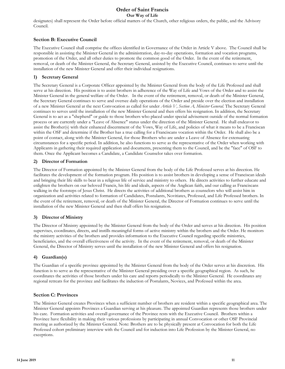designates) shall represent the Order before official matters of the Church, other religious orders, the public, and the Advisory Council.

#### **Section B: Executive Council**

The Executive Council shall comprise the offices identified in Governance of the Order in Article V above. The Council shall be responsible in assisting the Minister General in the administration, day-to-day operations, formation and vocation programs, promotion of the Order, and all other duties to promote the common good of the Order. In the event of the retirement, removal, or death of the Minister General, the Secretary General, assisted by the Executive Council, continues to serve until the installation of the new Minister General and offer their individual resignations.

#### **1) Secretary General**

The Secretary General is a Corporate Officer appointed by the Minister General from the body of the Life Professed and shall serve at his direction. His position is to assist brothers in adherence of the Way of Life and Vows of the Order and to assist the Minister General in the general welfare of the Order. In the event of the retirement, removal, or death of the Minister General, the Secretary General continues to serve and oversee daily operations of the Order and preside over the election and installation of a new Minister General at the next Convocation as called for under *Article V, Section A, Minister General*. The Secretary General continues to serves until the installation of the new Minister General and then offers his resignation. In addition, the Secretary General is to act as a "shepherd" or guide to those brothers who placed under special advisement outside of the normal formation process or are currently under a "Leave of Absence" status under the direction of the Minister General. He shall endeavor to assist the Brother(s) with their enhanced discernment of the Vows, Way of Life, and policies of what it means to be a Franciscan within the OSF and determine if the Brother has a true calling for a Franciscans vocation within the Order. He shall also be a point of contact, along with the Minister General, for those Brothers who are under a Leave of Absence for extenuating circumstances for a specific period. In addition, he also functions to serve as the representative of the Order when working with Applicants in gathering their required application and documents, presenting them to the Council, and be the "face" of OSF to them. Once the Applicant becomes a Candidate, a Candidate Counselor takes over formation.

#### **2) Director of Formation**

The Director of Formation appointed by the Minister General from the body of the Life Professed serves at his direction. He facilitates the development of the formation program. His position is to assist brothers in developing a sense of Franciscan ideals and bringing their life skills to bear in a religious life of service and ministry to others. He directs activities to further educate and enlighten the brothers on our beloved Francis, his life and ideals, aspects of the Anglican faith, and our calling as Franciscans walking in the footsteps of Jesus Christ. He directs the activities of additional brothers as counselors who will assist him in organization and activities related to formation of Candidates, Postulants, Novitiates, Professed, and Life Professed brothers. In the event of the retirement, removal, or death of the Minister General, the Director of Formation continues to serve until the installation of the new Minister General and then shall offers his resignation.

#### **3) Director of Ministry**

The Director of Ministry appointed by the Minister General from the body of the Order and serves at his direction. His position supervises, coordinates, directs, and instills meaningful forms of active ministry within the brothers and the Order. He monitors the ministry activities of the brothers and provides information to the Executive Council regarding specific ministries, beneficiaries, and the overall effectiveness of the activity. In the event of the retirement, removal, or death of the Minister General, the Director of Ministry serves until the installation of the new Minister General and offers his resignation.

#### **4) Guardian(s)**

The Guardian of a specific province appointed by the Minister General from the body of the Order serves at his discretion. His function is to serve as the representative of the Minister General presiding over a specific geographical region. As such, he coordinates the activities of those brothers under his care and reports periodically to the Minister General. He coordinates any regional retreats for the province and facilitates the induction of Postulants, Novices, and Professed within the area.

#### **Section C: Provinces**

The Minister General creates Provinces when a sufficient number of brothers are resident within a specific geographical area. The Minister General appoints Provinces a Guardian serving at his pleasure. The appointed Guardian represents those brothers under his care. Formation activities and overall governance of the Province rests with the Executive Council. Brothers within a Province have flexibility in making their various professions by participating in annual Convocation or other OSF Provincial meeting as authorized by the Minister General. Note: Brothers are to be physically present at Convocation for both the Life Professed cohort preliminary interview with the Council and for induction into Life Profession by the Minister General, no exceptions.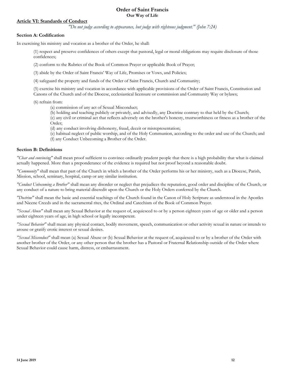#### **Article VI: Standards of Conduct**

*"Do not judge according to appearance, but judge with righteous judgment." (John 7:24)*

#### **Section A: Codification**

In exercising his ministry and vocation as a brother of the Order, he shall:

(1) respect and preserve confidences of others except that pastoral, legal or moral obligations may require disclosure of those confidences;

(2) conform to the Rubrics of the Book of Common Prayer or applicable Book of Prayer;

(3) abide by the Order of Saint Francis' Way of Life, Promises or Vows, and Policies;

(4) safeguard the property and funds of the Order of Saint Francis, Church and Community;

(5) exercise his ministry and vocation in accordance with applicable provisions of the Order of Saint Francis, Constitution and Canons of the Church and of the Diocese, ecclesiastical licensure or commission and Community Way or bylaws;

(6) refrain from:

- (a) commission of any act of Sexual Misconduct;
- (b) holding and teaching publicly or privately, and advisedly, any Doctrine contrary to that held by the Church;

(c) any civil or criminal act that reflects adversely on the brother's honesty, trustworthiness or fitness as a brother of the Order;

(d) any conduct involving dishonesty, fraud, deceit or misrepresentation;

(e) habitual neglect of public worship, and of the Holy Communion, according to the order and use of the Church; and (f) any Conduct Unbecoming a Brother of the Order.

#### **Section B: Definitions**

*"Clear and convincing"* shall mean proof sufficient to convince ordinarily prudent people that there is a high probability that what is claimed actually happened. More than a preponderance of the evidence is required but not proof beyond a reasonable doubt.

*"Community"* shall mean that part of the Church in which a brother of the Order performs his or her ministry, such as a Diocese, Parish, Mission, school, seminary, hospital, camp or any similar institution.

*"Conduct Unbecoming a Brother"* shall mean any disorder or neglect that prejudices the reputation, good order and discipline of the Church, or any conduct of a nature to bring material discredit upon the Church or the Holy Orders conferred by the Church.

*"Doctrine"* shall mean the basic and essential teachings of the Church found in the Canon of Holy Scripture as understood in the Apostles and Nicene Creeds and in the sacramental rites, the Ordinal and Catechism of the Book of Common Prayer.

*"Sexual Abuse"* shall mean any Sexual Behavior at the request of, acquiesced to or by a person eighteen years of age or older and a person under eighteen years of age, in high school or legally incompetent.

*"Sexual Behavior"* shall mean any physical contact, bodily movement, speech, communication or other activity sexual in nature or intends to arouse or gratify erotic interest or sexual desires.

*"Sexual Misconduct"* shall mean (a) Sexual Abuse or (b) Sexual Behavior at the request of, acquiesced to or by a brother of the Order with another brother of the Order, or any other person that the brother has a Pastoral or Fraternal Relationship outside of the Order where Sexual Behavior could cause harm, distress, or embarrassment.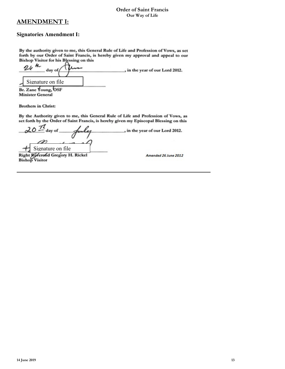#### **AMENDMENT I:**

#### **Signatories Amendment I:**

By the authority given to me, this General Rule of Life and Profession of Vows, as set forth by our Order of Saint Francis, is hereby given my approval and appeal to our **Bishop Visitor for his Blessing on this** 

 $24$   $\frac{1}{2}$ , in the year of our Lord 2012. day of Signature on file

Br. Zane Young, OSF **Minister General** 

**Brothers in Christ:** 

By the Authority given to me, this General Rule of Life and Profession of Vows, as set forth by the Order of Saint Francis, is hereby given my Episcopal Blessing on this

 $\pi$ day of , in the year of our Lord 2012. H Signature on file<br>Right Rederond Gregory H. Rickel<br>Bishop Visitor Amended 26 June 2012